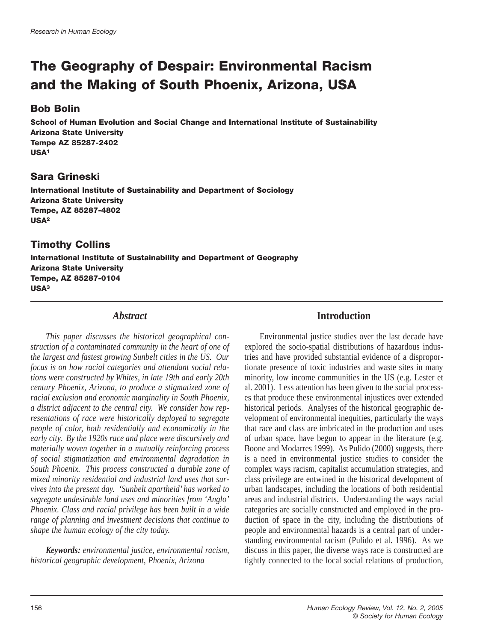# **The Geography of Despair: Environmental Racism and the Making of South Phoenix, Arizona, USA**

## **Bob Bolin**

**School of Human Evolution and Social Change and International Institute of Sustainability Arizona State University Tempe AZ 85287-2402 USA1**

# **Sara Grineski**

**International Institute of Sustainability and Department of Sociology Arizona State University Tempe, AZ 85287-4802 USA2**

# **Timothy Collins**

**International Institute of Sustainability and Department of Geography Arizona State University Tempe, AZ 85287-0104 USA3**

### *Abstract*

*This paper discusses the historical geographical construction of a contaminated community in the heart of one of the largest and fastest growing Sunbelt cities in the US. Our focus is on how racial categories and attendant social relations were constructed by Whites, in late 19th and early 20th century Phoenix, Arizona, to produce a stigmatized zone of racial exclusion and economic marginality in South Phoenix, a district adjacent to the central city. We consider how representations of race were historically deployed to segregate people of color, both residentially and economically in the early city. By the 1920s race and place were discursively and materially woven together in a mutually reinforcing process of social stigmatization and environmental degradation in South Phoenix. This process constructed a durable zone of mixed minority residential and industrial land uses that survives into the present day. 'Sunbelt apartheid' has worked to segregate undesirable land uses and minorities from 'Anglo' Phoenix. Class and racial privilege has been built in a wide range of planning and investment decisions that continue to shape the human ecology of the city today.* 

*Keywords: environmental justice, environmental racism, historical geographic development, Phoenix, Arizona*

## **Introduction**

Environmental justice studies over the last decade have explored the socio-spatial distributions of hazardous industries and have provided substantial evidence of a disproportionate presence of toxic industries and waste sites in many minority, low income communities in the US (e.g. Lester et al. 2001). Less attention has been given to the social processes that produce these environmental injustices over extended historical periods. Analyses of the historical geographic development of environmental inequities, particularly the ways that race and class are imbricated in the production and uses of urban space, have begun to appear in the literature (e.g. Boone and Modarres 1999). As Pulido (2000) suggests, there is a need in environmental justice studies to consider the complex ways racism, capitalist accumulation strategies, and class privilege are entwined in the historical development of urban landscapes, including the locations of both residential areas and industrial districts. Understanding the ways racial categories are socially constructed and employed in the production of space in the city, including the distributions of people and environmental hazards is a central part of understanding environmental racism (Pulido et al. 1996). As we discuss in this paper, the diverse ways race is constructed are tightly connected to the local social relations of production,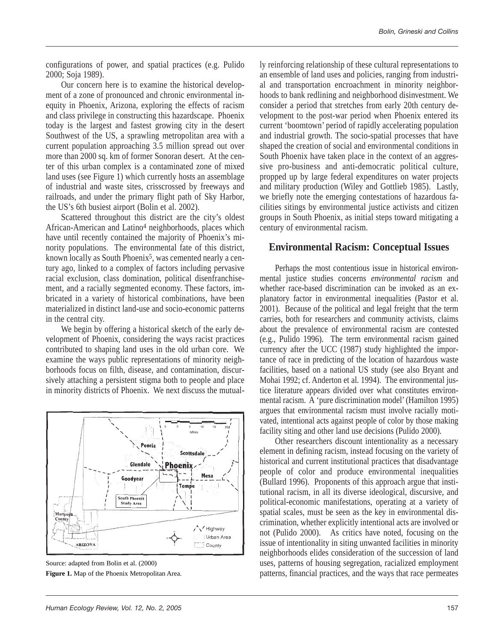configurations of power, and spatial practices (e.g. Pulido 2000; Soja 1989).

Our concern here is to examine the historical development of a zone of pronounced and chronic environmental inequity in Phoenix, Arizona, exploring the effects of racism and class privilege in constructing this hazardscape. Phoenix today is the largest and fastest growing city in the desert Southwest of the US, a sprawling metropolitan area with a current population approaching 3.5 million spread out over more than 2000 sq. km of former Sonoran desert. At the center of this urban complex is a contaminated zone of mixed land uses (see Figure 1) which currently hosts an assemblage of industrial and waste sites, crisscrossed by freeways and railroads, and under the primary flight path of Sky Harbor, the US's 6th busiest airport (Bolin et al. 2002).

Scattered throughout this district are the city's oldest African-American and Latino4 neighborhoods, places which have until recently contained the majority of Phoenix's minority populations. The environmental fate of this district, known locally as South Phoenix<sup>5</sup>, was cemented nearly a century ago, linked to a complex of factors including pervasive racial exclusion, class domination, political disenfranchisement, and a racially segmented economy. These factors, imbricated in a variety of historical combinations, have been materialized in distinct land-use and socio-economic patterns in the central city.

We begin by offering a historical sketch of the early development of Phoenix, considering the ways racist practices contributed to shaping land uses in the old urban core. We examine the ways public representations of minority neighborhoods focus on filth, disease, and contamination, discursively attaching a persistent stigma both to people and place in minority districts of Phoenix. We next discuss the mutual-



Source: adapted from Bolin et al. (2000) **Figure 1.** Map of the Phoenix Metropolitan Area.

ly reinforcing relationship of these cultural representations to an ensemble of land uses and policies, ranging from industrial and transportation encroachment in minority neighborhoods to bank redlining and neighborhood disinvestment. We consider a period that stretches from early 20th century development to the post-war period when Phoenix entered its current 'boomtown' period of rapidly accelerating population and industrial growth. The socio-spatial processes that have shaped the creation of social and environmental conditions in South Phoenix have taken place in the context of an aggressive pro-business and anti-democratic political culture, propped up by large federal expenditures on water projects and military production (Wiley and Gottlieb 1985). Lastly, we briefly note the emerging contestations of hazardous facilities sitings by environmental justice activists and citizen groups in South Phoenix, as initial steps toward mitigating a century of environmental racism.

## **Environmental Racism: Conceptual Issues**

Perhaps the most contentious issue in historical environmental justice studies concerns *environmental racism* and whether race-based discrimination can be invoked as an explanatory factor in environmental inequalities (Pastor et al. 2001). Because of the political and legal freight that the term carries, both for researchers and community activists, claims about the prevalence of environmental racism are contested (e.g., Pulido 1996). The term environmental racism gained currency after the UCC (1987) study highlighted the importance of race in predicting of the location of hazardous waste facilities, based on a national US study (see also Bryant and Mohai 1992; cf. Anderton et al. 1994). The environmental justice literature appears divided over what constitutes environmental racism. A 'pure discrimination model' (Hamilton 1995) argues that environmental racism must involve racially motivated, intentional acts against people of color by those making facility siting and other land use decisions (Pulido 2000).

Other researchers discount intentionality as a necessary element in defining racism, instead focusing on the variety of historical and current institutional practices that disadvantage people of color and produce environmental inequalities (Bullard 1996). Proponents of this approach argue that institutional racism, in all its diverse ideological, discursive, and political-economic manifestations, operating at a variety of spatial scales, must be seen as the key in environmental discrimination, whether explicitly intentional acts are involved or not (Pulido 2000). As critics have noted, focusing on the issue of intentionality in siting unwanted facilities in minority neighborhoods elides consideration of the succession of land uses, patterns of housing segregation, racialized employment patterns, financial practices, and the ways that race permeates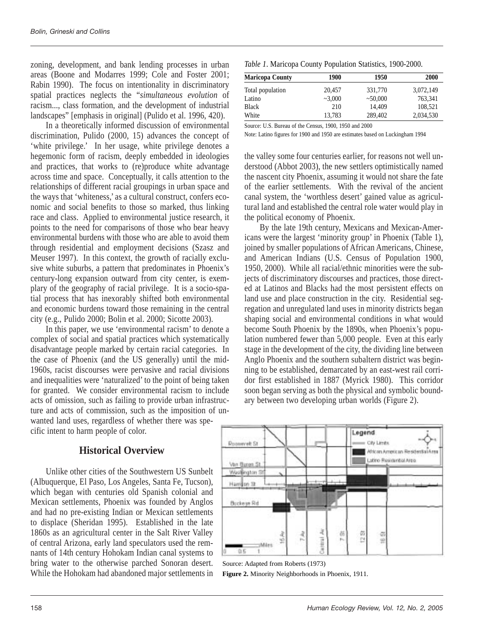zoning, development, and bank lending processes in urban areas (Boone and Modarres 1999; Cole and Foster 2001; Rabin 1990). The focus on intentionality in discriminatory spatial practices neglects the "*simultaneous evolution* of racism..., class formation, and the development of industrial landscapes" [emphasis in original] (Pulido et al. 1996, 420).

In a theoretically informed discussion of environmental discrimination, Pulido (2000, 15) advances the concept of 'white privilege.' In her usage, white privilege denotes a hegemonic form of racism, deeply embedded in ideologies and practices, that works to (re)produce white advantage across time and space. Conceptually, it calls attention to the relationships of different racial groupings in urban space and the ways that 'whiteness,' as a cultural construct, confers economic and social benefits to those so marked, thus linking race and class. Applied to environmental justice research, it points to the need for comparisons of those who bear heavy environmental burdens with those who are able to avoid them through residential and employment decisions (Szasz and Meuser 1997). In this context, the growth of racially exclusive white suburbs, a pattern that predominates in Phoenix's century-long expansion outward from city center, is exemplary of the geography of racial privilege. It is a socio-spatial process that has inexorably shifted both environmental and economic burdens toward those remaining in the central city (e.g., Pulido 2000; Bolin et al. 2000; Sicotte 2003).

In this paper, we use 'environmental racism' to denote a complex of social and spatial practices which systematically disadvantage people marked by certain racial categories. In the case of Phoenix (and the US generally) until the mid-1960s, racist discourses were pervasive and racial divisions and inequalities were 'naturalized' to the point of being taken for granted. We consider environmental racism to include acts of omission, such as failing to provide urban infrastructure and acts of commission, such as the imposition of unwanted land uses, regardless of whether there was specific intent to harm people of color.

### **Historical Overview**

Unlike other cities of the Southwestern US Sunbelt (Albuquerque, El Paso, Los Angeles, Santa Fe, Tucson), which began with centuries old Spanish colonial and Mexican settlements, Phoenix was founded by Anglos and had no pre-existing Indian or Mexican settlements to displace (Sheridan 1995). Established in the late 1860s as an agricultural center in the Salt River Valley of central Arizona, early land speculators used the remnants of 14th century Hohokam Indian canal systems to bring water to the otherwise parched Sonoran desert. While the Hohokam had abandoned major settlements in

|  |  |  | Table 1. Maricopa County Population Statistics, 1900-2000. |
|--|--|--|------------------------------------------------------------|
|  |  |  |                                                            |

| <b>Maricopa County</b> | 1900    | 1950    | 2000      |
|------------------------|---------|---------|-----------|
| Total population       | 20.457  | 331,770 | 3.072.149 |
| Latino                 | ~23.000 | ~50,000 | 763.341   |
| <b>Black</b>           | 210     | 14.409  | 108.521   |
| White                  | 13.783  | 289,402 | 2,034,530 |

Source: U.S. Bureau of the Census, 1900, 1950 and 2000

Note: Latino figures for 1900 and 1950 are estimates based on Luckingham 1994

the valley some four centuries earlier, for reasons not well understood (Abbot 2003), the new settlers optimistically named the nascent city Phoenix, assuming it would not share the fate of the earlier settlements. With the revival of the ancient canal system, the 'worthless desert' gained value as agricultural land and established the central role water would play in the political economy of Phoenix.

By the late 19th century, Mexicans and Mexican-Americans were the largest 'minority group' in Phoenix (Table 1), joined by smaller populations of African Americans, Chinese, and American Indians (U.S. Census of Population 1900, 1950, 2000). While all racial/ethnic minorities were the subjects of discriminatory discourses and practices, those directed at Latinos and Blacks had the most persistent effects on land use and place construction in the city. Residential segregation and unregulated land uses in minority districts began shaping social and environmental conditions in what would become South Phoenix by the 1890s, when Phoenix's population numbered fewer than 5,000 people. Even at this early stage in the development of the city, the dividing line between Anglo Phoenix and the southern subaltern district was beginning to be established, demarcated by an east-west rail corridor first established in 1887 (Myrick 1980). This corridor soon began serving as both the physical and symbolic boundary between two developing urban worlds (Figure 2).



Source: Adapted from Roberts (1973) **Figure 2.** Minority Neighborhoods in Phoenix, 1911.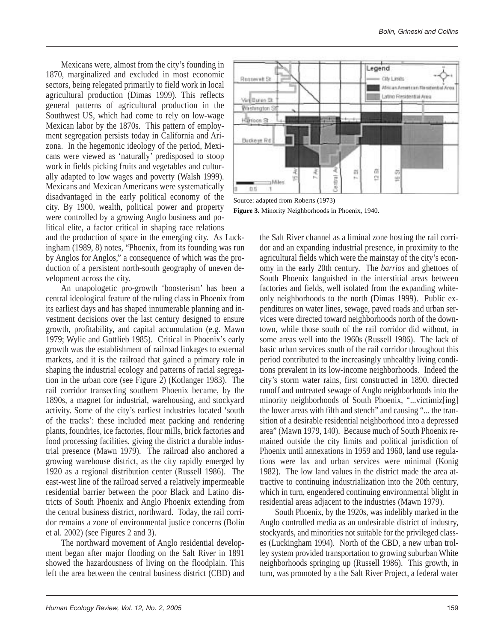Mexicans were, almost from the city's founding in 1870, marginalized and excluded in most economic sectors, being relegated primarily to field work in local agricultural production (Dimas 1999). This reflects general patterns of agricultural production in the Southwest US, which had come to rely on low-wage Mexican labor by the 1870s. This pattern of employment segregation persists today in California and Arizona. In the hegemonic ideology of the period, Mexicans were viewed as 'naturally' predisposed to stoop work in fields picking fruits and vegetables and culturally adapted to low wages and poverty (Walsh 1999). Mexicans and Mexican Americans were systematically disadvantaged in the early political economy of the city. By 1900, wealth, political power and property were controlled by a growing Anglo business and political elite, a factor critical in shaping race relations

and the production of space in the emerging city. As Luckingham (1989, 8) notes, "Phoenix, from its founding was run by Anglos for Anglos," a consequence of which was the production of a persistent north-south geography of uneven development across the city.

An unapologetic pro-growth 'boosterism' has been a central ideological feature of the ruling class in Phoenix from its earliest days and has shaped innumerable planning and investment decisions over the last century designed to ensure growth, profitability, and capital accumulation (e.g. Mawn 1979; Wylie and Gottlieb 1985). Critical in Phoenix's early growth was the establishment of railroad linkages to external markets, and it is the railroad that gained a primary role in shaping the industrial ecology and patterns of racial segregation in the urban core (see Figure 2) (Kotlanger 1983). The rail corridor transecting southern Phoenix became, by the 1890s, a magnet for industrial, warehousing, and stockyard activity. Some of the city's earliest industries located 'south of the tracks': these included meat packing and rendering plants, foundries, ice factories, flour mills, brick factories and food processing facilities, giving the district a durable industrial presence (Mawn 1979). The railroad also anchored a growing warehouse district, as the city rapidly emerged by 1920 as a regional distribution center (Russell 1986). The east-west line of the railroad served a relatively impermeable residential barrier between the poor Black and Latino districts of South Phoenix and Anglo Phoenix extending from the central business district, northward. Today, the rail corridor remains a zone of environmental justice concerns (Bolin et al. 2002) (see Figures 2 and 3).

The northward movement of Anglo residential development began after major flooding on the Salt River in 1891 showed the hazardousness of living on the floodplain. This left the area between the central business district (CBD) and



Source: adapted from Roberts (1973) **Figure 3.** Minority Neighborhoods in Phoenix, 1940.

the Salt River channel as a liminal zone hosting the rail corridor and an expanding industrial presence, in proximity to the agricultural fields which were the mainstay of the city's economy in the early 20th century. The *barrios* and ghettoes of South Phoenix languished in the interstitial areas between factories and fields, well isolated from the expanding whiteonly neighborhoods to the north (Dimas 1999). Public expenditures on water lines, sewage, paved roads and urban services were directed toward neighborhoods north of the downtown, while those south of the rail corridor did without, in some areas well into the 1960s (Russell 1986). The lack of basic urban services south of the rail corridor throughout this period contributed to the increasingly unhealthy living conditions prevalent in its low-income neighborhoods. Indeed the city's storm water rains, first constructed in 1890, directed runoff and untreated sewage of Anglo neighborhoods into the minority neighborhoods of South Phoenix, "...victimiz[ing] the lower areas with filth and stench" and causing "... the transition of a desirable residential neighborhood into a depressed area" (Mawn 1979, 140). Because much of South Phoenix remained outside the city limits and political jurisdiction of Phoenix until annexations in 1959 and 1960, land use regulations were lax and urban services were minimal (Konig 1982). The low land values in the district made the area attractive to continuing industrialization into the 20th century, which in turn, engendered continuing environmental blight in residential areas adjacent to the industries (Mawn 1979).

South Phoenix, by the 1920s, was indelibly marked in the Anglo controlled media as an undesirable district of industry, stockyards, and minorities not suitable for the privileged classes (Luckingham 1994). North of the CBD, a new urban trolley system provided transportation to growing suburban White neighborhoods springing up (Russell 1986). This growth, in turn, was promoted by a the Salt River Project, a federal water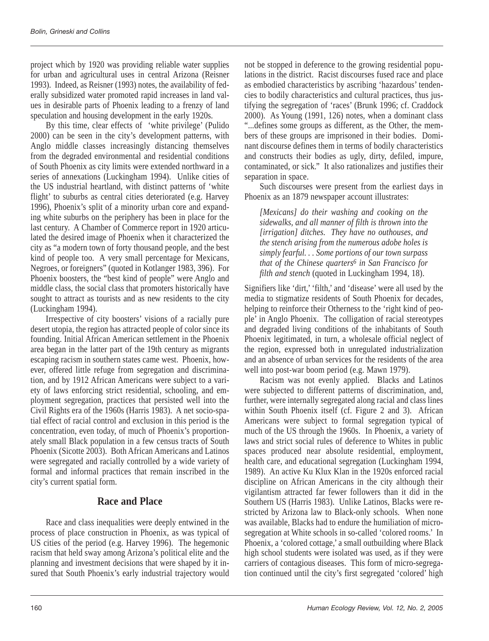project which by 1920 was providing reliable water supplies for urban and agricultural uses in central Arizona (Reisner 1993). Indeed, as Reisner (1993) notes, the availability of federally subsidized water promoted rapid increases in land values in desirable parts of Phoenix leading to a frenzy of land speculation and housing development in the early 1920s.

By this time, clear effects of 'white privilege' (Pulido 2000) can be seen in the city's development patterns, with Anglo middle classes increasingly distancing themselves from the degraded environmental and residential conditions of South Phoenix as city limits were extended northward in a series of annexations (Luckingham 1994). Unlike cities of the US industrial heartland, with distinct patterns of 'white flight' to suburbs as central cities deteriorated (e.g. Harvey 1996), Phoenix's split of a minority urban core and expanding white suburbs on the periphery has been in place for the last century. A Chamber of Commerce report in 1920 articulated the desired image of Phoenix when it characterized the city as "a modern town of forty thousand people, and the best kind of people too. A very small percentage for Mexicans, Negroes, or foreigners" (quoted in Kotlanger 1983, 396). For Phoenix boosters, the "best kind of people" were Anglo and middle class, the social class that promoters historically have sought to attract as tourists and as new residents to the city (Luckingham 1994).

Irrespective of city boosters' visions of a racially pure desert utopia, the region has attracted people of color since its founding. Initial African American settlement in the Phoenix area began in the latter part of the 19th century as migrants escaping racism in southern states came west. Phoenix, however, offered little refuge from segregation and discrimination, and by 1912 African Americans were subject to a variety of laws enforcing strict residential, schooling, and employment segregation, practices that persisted well into the Civil Rights era of the 1960s (Harris 1983). A net socio-spatial effect of racial control and exclusion in this period is the concentration, even today, of much of Phoenix's proportionately small Black population in a few census tracts of South Phoenix (Sicotte 2003). Both African Americans and Latinos were segregated and racially controlled by a wide variety of formal and informal practices that remain inscribed in the city's current spatial form.

## **Race and Place**

Race and class inequalities were deeply entwined in the process of place construction in Phoenix, as was typical of US cities of the period (e.g. Harvey 1996). The hegemonic racism that held sway among Arizona's political elite and the planning and investment decisions that were shaped by it insured that South Phoenix's early industrial trajectory would not be stopped in deference to the growing residential populations in the district. Racist discourses fused race and place as embodied characteristics by ascribing 'hazardous' tendencies to bodily characteristics and cultural practices, thus justifying the segregation of 'races' (Brunk 1996; cf. Craddock 2000). As Young (1991, 126) notes, when a dominant class "...defines some groups as different, as the Other, the members of these groups are imprisoned in their bodies. Dominant discourse defines them in terms of bodily characteristics and constructs their bodies as ugly, dirty, defiled, impure, contaminated, or sick." It also rationalizes and justifies their separation in space.

Such discourses were present from the earliest days in Phoenix as an 1879 newspaper account illustrates:

*[Mexicans] do their washing and cooking on the sidewalks, and all manner of filth is thrown into the [irrigation] ditches. They have no outhouses, and the stench arising from the numerous adobe holes is simply fearful. . . Some portions of our town surpass that of the Chinese quarters6 in San Francisco for filth and stench* (quoted in Luckingham 1994, 18).

Signifiers like 'dirt,' 'filth,' and 'disease' were all used by the media to stigmatize residents of South Phoenix for decades, helping to reinforce their Otherness to the 'right kind of people' in Anglo Phoenix. The colligation of racial stereotypes and degraded living conditions of the inhabitants of South Phoenix legitimated, in turn, a wholesale official neglect of the region, expressed both in unregulated industrialization and an absence of urban services for the residents of the area well into post-war boom period (e.g. Mawn 1979).

Racism was not evenly applied. Blacks and Latinos were subjected to different patterns of discrimination, and, further, were internally segregated along racial and class lines within South Phoenix itself (cf. Figure 2 and 3). African Americans were subject to formal segregation typical of much of the US through the 1960s. In Phoenix, a variety of laws and strict social rules of deference to Whites in public spaces produced near absolute residential, employment, health care, and educational segregation (Luckingham 1994, 1989). An active Ku Klux Klan in the 1920s enforced racial discipline on African Americans in the city although their vigilantism attracted far fewer followers than it did in the Southern US (Harris 1983). Unlike Latinos, Blacks were restricted by Arizona law to Black-only schools. When none was available, Blacks had to endure the humiliation of microsegregation at White schools in so-called 'colored rooms.' In Phoenix, a 'colored cottage,' a small outbuilding where Black high school students were isolated was used, as if they were carriers of contagious diseases. This form of micro-segregation continued until the city's first segregated 'colored' high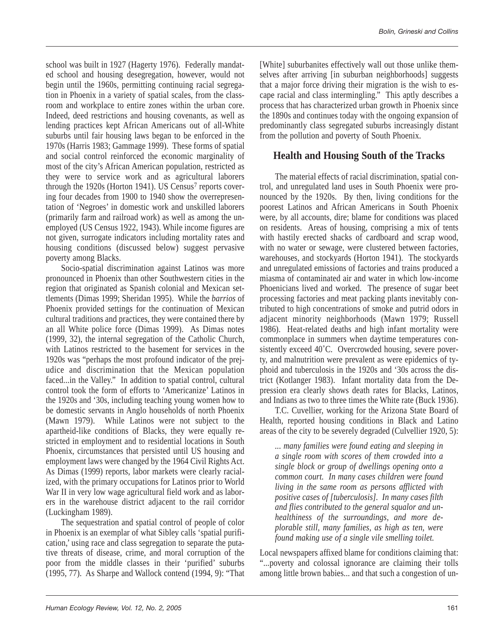school was built in 1927 (Hagerty 1976). Federally mandated school and housing desegregation, however, would not begin until the 1960s, permitting continuing racial segregation in Phoenix in a variety of spatial scales, from the classroom and workplace to entire zones within the urban core. Indeed, deed restrictions and housing covenants, as well as lending practices kept African Americans out of all-White suburbs until fair housing laws began to be enforced in the 1970s (Harris 1983; Gammage 1999). These forms of spatial and social control reinforced the economic marginality of most of the city's African American population, restricted as they were to service work and as agricultural laborers through the 1920s (Horton 1941). US Census<sup>7</sup> reports covering four decades from 1900 to 1940 show the overrepresentation of 'Negroes' in domestic work and unskilled laborers (primarily farm and railroad work) as well as among the unemployed (US Census 1922, 1943). While income figures are not given, surrogate indicators including mortality rates and housing conditions (discussed below) suggest pervasive poverty among Blacks.

Socio-spatial discrimination against Latinos was more pronounced in Phoenix than other Southwestern cities in the region that originated as Spanish colonial and Mexican settlements (Dimas 1999; Sheridan 1995). While the *barrios* of Phoenix provided settings for the continuation of Mexican cultural traditions and practices, they were contained there by an all White police force (Dimas 1999). As Dimas notes (1999, 32), the internal segregation of the Catholic Church, with Latinos restricted to the basement for services in the 1920s was "perhaps the most profound indicator of the prejudice and discrimination that the Mexican population faced...in the Valley." In addition to spatial control, cultural control took the form of efforts to 'Americanize' Latinos in the 1920s and '30s, including teaching young women how to be domestic servants in Anglo households of north Phoenix (Mawn 1979). While Latinos were not subject to the apartheid-like conditions of Blacks, they were equally restricted in employment and to residential locations in South Phoenix, circumstances that persisted until US housing and employment laws were changed by the 1964 Civil Rights Act. As Dimas (1999) reports, labor markets were clearly racialized, with the primary occupations for Latinos prior to World War II in very low wage agricultural field work and as laborers in the warehouse district adjacent to the rail corridor (Luckingham 1989).

The sequestration and spatial control of people of color in Phoenix is an exemplar of what Sibley calls 'spatial purification,' using race and class segregation to separate the putative threats of disease, crime, and moral corruption of the poor from the middle classes in their 'purified' suburbs (1995, 77). As Sharpe and Wallock contend (1994, 9): "That

[White] suburbanites effectively wall out those unlike themselves after arriving [in suburban neighborhoods] suggests that a major force driving their migration is the wish to escape racial and class intermingling." This aptly describes a process that has characterized urban growth in Phoenix since the 1890s and continues today with the ongoing expansion of predominantly class segregated suburbs increasingly distant from the pollution and poverty of South Phoenix.

# **Health and Housing South of the Tracks**

The material effects of racial discrimination, spatial control, and unregulated land uses in South Phoenix were pronounced by the 1920s. By then, living conditions for the poorest Latinos and African Americans in South Phoenix were, by all accounts, dire; blame for conditions was placed on residents. Areas of housing, comprising a mix of tents with hastily erected shacks of cardboard and scrap wood, with no water or sewage, were clustered between factories, warehouses, and stockyards (Horton 1941). The stockyards and unregulated emissions of factories and trains produced a miasma of contaminated air and water in which low-income Phoenicians lived and worked. The presence of sugar beet processing factories and meat packing plants inevitably contributed to high concentrations of smoke and putrid odors in adjacent minority neighborhoods (Mawn 1979; Russell 1986). Heat-related deaths and high infant mortality were commonplace in summers when daytime temperatures consistently exceed 40°C. Overcrowded housing, severe poverty, and malnutrition were prevalent as were epidemics of typhoid and tuberculosis in the 1920s and '30s across the district (Kotlanger 1983). Infant mortality data from the Depression era clearly shows death rates for Blacks, Latinos, and Indians as two to three times the White rate (Buck 1936).

T.C. Cuvellier, working for the Arizona State Board of Health, reported housing conditions in Black and Latino areas of the city to be severely degraded (Culvellier 1920, 5):

*... many families were found eating and sleeping in a single room with scores of them crowded into a single block or group of dwellings opening onto a common court. In many cases children were found living in the same room as persons afflicted with positive cases of [tuberculosis]. In many cases filth and flies contributed to the general squalor and unhealthiness of the surroundings, and more deplorable still, many families, as high as ten, were found making use of a single vile smelling toilet.* 

Local newspapers affixed blame for conditions claiming that: "...poverty and colossal ignorance are claiming their tolls among little brown babies... and that such a congestion of un-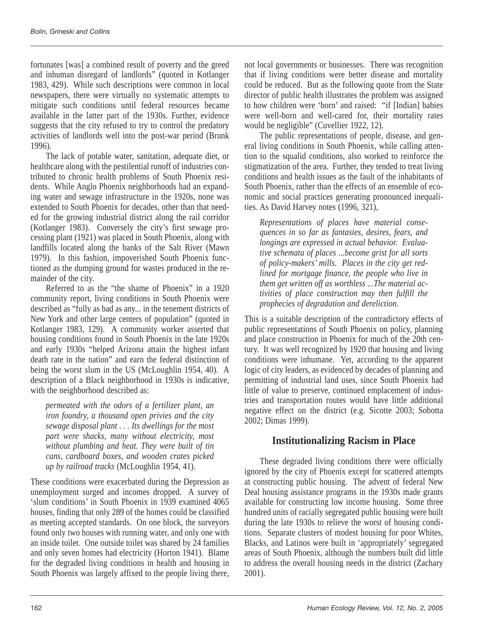fortunates [was] a combined result of poverty and the greed and inhuman disregard of landlords" (quoted in Kotlanger 1983, 429). While such descriptions were common in local newspapers, there were virtually no systematic attempts to mitigate such conditions until federal resources became available in the latter part of the 1930s. Further, evidence suggests that the city refused to try to control the predatory activities of landlords well into the post-war period (Brunk 1996).

The lack of potable water, sanitation, adequate diet, or healthcare along with the pestilential runoff of industries contributed to chronic health problems of South Phoenix residents. While Anglo Phoenix neighborhoods had an expanding water and sewage infrastructure in the 1920s, none was extended to South Phoenix for decades, other than that needed for the growing industrial district along the rail corridor (Kotlanger 1983). Conversely the city's first sewage processing plant (1921) was placed in South Phoenix, along with landfills located along the banks of the Salt River (Mawn 1979). In this fashion, impoverished South Phoenix functioned as the dumping ground for wastes produced in the remainder of the city.

Referred to as the "the shame of Phoenix" in a 1920 community report, living conditions in South Phoenix were described as "fully as bad as any... in the tenement districts of New York and other large centers of population" (quoted in Kotlanger 1983, 129). A community worker asserted that housing conditions found in South Phoenix in the late 1920s and early 1930s "helped Arizona attain the highest infant death rate in the nation" and earn the federal distinction of being the worst slum in the US (McLoughlin 1954, 40). A description of a Black neighborhood in 1930s is indicative, with the neighborhood described as:

*permeated with the odors of a fertilizer plant, an iron foundry, a thousand open privies and the city sewage disposal plant . . . Its dwellings for the most part were shacks, many without electricity, most without plumbing and heat. They were built of tin cans, cardboard boxes, and wooden crates picked up by railroad tracks* (McLoughlin 1954, 41).

These conditions were exacerbated during the Depression as unemployment surged and incomes dropped. A survey of 'slum conditions' in South Phoenix in 1939 examined 4065 houses, finding that only 289 of the homes could be classified as meeting accepted standards. On one block, the surveyors found only two houses with running water, and only one with an inside toilet. One outside toilet was shared by 24 families and only seven homes had electricity (Horton 1941). Blame for the degraded living conditions in health and housing in South Phoenix was largely affixed to the people living there, not local governments or businesses. There was recognition that if living conditions were better disease and mortality could be reduced. But as the following quote from the State director of public health illustrates the problem was assigned to how children were 'born' and raised: "if [Indian] babies were well-born and well-cared for, their mortality rates would be negligible" (Cuvellier 1922, 12).

The public representations of people, disease, and general living conditions in South Phoenix, while calling attention to the squalid conditions, also worked to reinforce the stigmatization of the area. Further, they tended to treat living conditions and health issues as the fault of the inhabitants of South Phoenix, rather than the effects of an ensemble of economic and social practices generating pronounced inequalities. As David Harvey notes (1996, 321),

*Representations of places have material consequences in so far as fantasies, desires, fears, and longings are expressed in actual behavior. Evaluative schemata of places ...become grist for all sorts of policy-makers' mills. Places in the city get redlined for mortgage finance, the people who live in them get written off as worthless ...The material activities of place construction may then fulfill the prophecies of degradation and dereliction.*

This is a suitable description of the contradictory effects of public representations of South Phoenix on policy, planning and place construction in Phoenix for much of the 20th century. It was well recognized by 1920 that housing and living conditions were inhumane. Yet, according to the apparent logic of city leaders, as evidenced by decades of planning and permitting of industrial land uses, since South Phoenix had little of value to preserve, continued emplacement of industries and transportation routes would have little additional negative effect on the district (e.g. Sicotte 2003; Sobotta 2002; Dimas 1999).

# **Institutionalizing Racism in Place**

These degraded living conditions there were officially ignored by the city of Phoenix except for scattered attempts at constructing public housing. The advent of federal New Deal housing assistance programs in the 1930s made grants available for constructing low income housing. Some three hundred units of racially segregated public housing were built during the late 1930s to relieve the worst of housing conditions. Separate clusters of modest housing for poor Whites, Blacks, and Latinos were built in 'appropriately' segregated areas of South Phoenix, although the numbers built did little to address the overall housing needs in the district (Zachary 2001).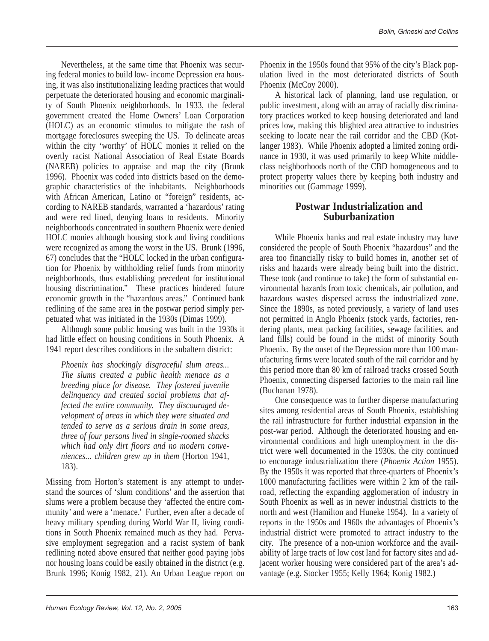Nevertheless, at the same time that Phoenix was securing federal monies to build low- income Depression era housing, it was also institutionalizing leading practices that would perpetuate the deteriorated housing and economic marginality of South Phoenix neighborhoods. In 1933, the federal government created the Home Owners' Loan Corporation (HOLC) as an economic stimulus to mitigate the rash of mortgage foreclosures sweeping the US. To delineate areas within the city 'worthy' of HOLC monies it relied on the overtly racist National Association of Real Estate Boards (NAREB) policies to appraise and map the city (Brunk 1996). Phoenix was coded into districts based on the demographic characteristics of the inhabitants. Neighborhoods with African American, Latino or "foreign" residents, according to NAREB standards, warranted a 'hazardous' rating and were red lined, denying loans to residents. Minority neighborhoods concentrated in southern Phoenix were denied HOLC monies although housing stock and living conditions were recognized as among the worst in the US. Brunk (1996, 67) concludes that the "HOLC locked in the urban configuration for Phoenix by withholding relief funds from minority neighborhoods, thus establishing precedent for institutional housing discrimination." These practices hindered future economic growth in the "hazardous areas." Continued bank redlining of the same area in the postwar period simply perpetuated what was initiated in the 1930s (Dimas 1999).

Although some public housing was built in the 1930s it had little effect on housing conditions in South Phoenix. A 1941 report describes conditions in the subaltern district:

*Phoenix has shockingly disgraceful slum areas... The slums created a public health menace as a breeding place for disease. They fostered juvenile delinquency and created social problems that affected the entire community. They discouraged development of areas in which they were situated and tended to serve as a serious drain in some areas, three of four persons lived in single-roomed shacks which had only dirt floors and no modern conveniences... children grew up in them* (Horton 1941, 183).

Missing from Horton's statement is any attempt to understand the sources of 'slum conditions' and the assertion that slums were a problem because they 'affected the entire community' and were a 'menace.' Further, even after a decade of heavy military spending during World War II, living conditions in South Phoenix remained much as they had. Pervasive employment segregation and a racist system of bank redlining noted above ensured that neither good paying jobs nor housing loans could be easily obtained in the district (e.g. Brunk 1996; Konig 1982, 21). An Urban League report on

Phoenix in the 1950s found that 95% of the city's Black population lived in the most deteriorated districts of South Phoenix (McCoy 2000).

A historical lack of planning, land use regulation, or public investment, along with an array of racially discriminatory practices worked to keep housing deteriorated and land prices low, making this blighted area attractive to industries seeking to locate near the rail corridor and the CBD (Kotlanger 1983). While Phoenix adopted a limited zoning ordinance in 1930, it was used primarily to keep White middleclass neighborhoods north of the CBD homogeneous and to protect property values there by keeping both industry and minorities out (Gammage 1999).

#### **Postwar Industrialization and Suburbanization**

While Phoenix banks and real estate industry may have considered the people of South Phoenix "hazardous" and the area too financially risky to build homes in, another set of risks and hazards were already being built into the district. These took (and continue to take) the form of substantial environmental hazards from toxic chemicals, air pollution, and hazardous wastes dispersed across the industrialized zone. Since the 1890s, as noted previously, a variety of land uses not permitted in Anglo Phoenix (stock yards, factories, rendering plants, meat packing facilities, sewage facilities, and land fills) could be found in the midst of minority South Phoenix. By the onset of the Depression more than 100 manufacturing firms were located south of the rail corridor and by this period more than 80 km of railroad tracks crossed South Phoenix, connecting dispersed factories to the main rail line (Buchanan 1978).

One consequence was to further disperse manufacturing sites among residential areas of South Phoenix, establishing the rail infrastructure for further industrial expansion in the post-war period. Although the deteriorated housing and environmental conditions and high unemployment in the district were well documented in the 1930s, the city continued to encourage industrialization there (*Phoenix Action* 1955). By the 1950s it was reported that three-quarters of Phoenix's 1000 manufacturing facilities were within 2 km of the railroad, reflecting the expanding agglomeration of industry in South Phoenix as well as in newer industrial districts to the north and west (Hamilton and Huneke 1954). In a variety of reports in the 1950s and 1960s the advantages of Phoenix's industrial district were promoted to attract industry to the city. The presence of a non-union workforce and the availability of large tracts of low cost land for factory sites and adjacent worker housing were considered part of the area's advantage (e.g. Stocker 1955; Kelly 1964; Konig 1982.)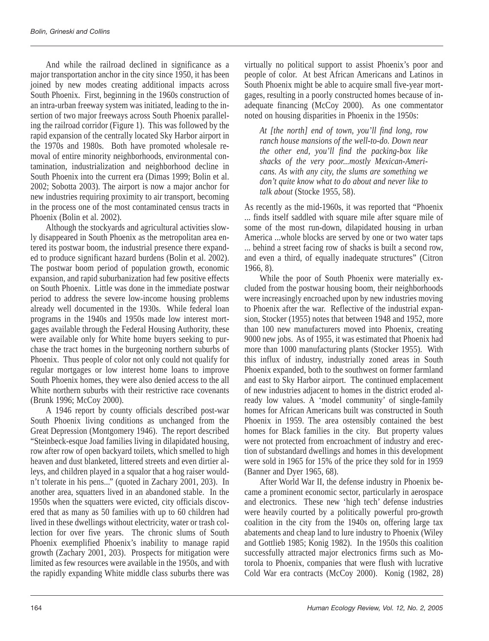And while the railroad declined in significance as a major transportation anchor in the city since 1950, it has been joined by new modes creating additional impacts across South Phoenix. First, beginning in the 1960s construction of an intra-urban freeway system was initiated, leading to the insertion of two major freeways across South Phoenix paralleling the railroad corridor (Figure 1). This was followed by the rapid expansion of the centrally located Sky Harbor airport in the 1970s and 1980s. Both have promoted wholesale removal of entire minority neighborhoods, environmental contamination, industrialization and neighborhood decline in South Phoenix into the current era (Dimas 1999; Bolin et al. 2002; Sobotta 2003). The airport is now a major anchor for new industries requiring proximity to air transport, becoming in the process one of the most contaminated census tracts in Phoenix (Bolin et al. 2002).

Although the stockyards and agricultural activities slowly disappeared in South Phoenix as the metropolitan area entered its postwar boom, the industrial presence there expanded to produce significant hazard burdens (Bolin et al. 2002). The postwar boom period of population growth, economic expansion, and rapid suburbanization had few positive effects on South Phoenix. Little was done in the immediate postwar period to address the severe low-income housing problems already well documented in the 1930s. While federal loan programs in the 1940s and 1950s made low interest mortgages available through the Federal Housing Authority, these were available only for White home buyers seeking to purchase the tract homes in the burgeoning northern suburbs of Phoenix. Thus people of color not only could not qualify for regular mortgages or low interest home loans to improve South Phoenix homes, they were also denied access to the all White northern suburbs with their restrictive race covenants (Brunk 1996; McCoy 2000).

A 1946 report by county officials described post-war South Phoenix living conditions as unchanged from the Great Depression (Montgomery 1946). The report described "Steinbeck-esque Joad families living in dilapidated housing, row after row of open backyard toilets, which smelled to high heaven and dust blanketed, littered streets and even dirtier alleys, and children played in a squalor that a hog raiser wouldn't tolerate in his pens..." (quoted in Zachary 2001, 203). In another area, squatters lived in an abandoned stable. In the 1950s when the squatters were evicted, city officials discovered that as many as 50 families with up to 60 children had lived in these dwellings without electricity, water or trash collection for over five years. The chronic slums of South Phoenix exemplified Phoenix's inability to manage rapid growth (Zachary 2001, 203). Prospects for mitigation were limited as few resources were available in the 1950s, and with the rapidly expanding White middle class suburbs there was virtually no political support to assist Phoenix's poor and people of color. At best African Americans and Latinos in South Phoenix might be able to acquire small five-year mortgages, resulting in a poorly constructed homes because of inadequate financing (McCoy 2000). As one commentator noted on housing disparities in Phoenix in the 1950s:

*At [the north] end of town, you'll find long, row ranch house mansions of the well-to-do. Down near the other end, you'll find the packing-box like shacks of the very poor...mostly Mexican-Americans. As with any city, the slums are something we don't quite know what to do about and never like to talk about* (Stocke 1955, 58).

As recently as the mid-1960s, it was reported that "Phoenix ... finds itself saddled with square mile after square mile of some of the most run-down, dilapidated housing in urban America ...whole blocks are served by one or two water taps ... behind a street facing row of shacks is built a second row, and even a third, of equally inadequate structures" (Citron 1966, 8).

While the poor of South Phoenix were materially excluded from the postwar housing boom, their neighborhoods were increasingly encroached upon by new industries moving to Phoenix after the war. Reflective of the industrial expansion, Stocker (1955) notes that between 1948 and 1952, more than 100 new manufacturers moved into Phoenix, creating 9000 new jobs. As of 1955, it was estimated that Phoenix had more than 1000 manufacturing plants (Stocker 1955). With this influx of industry, industrially zoned areas in South Phoenix expanded, both to the southwest on former farmland and east to Sky Harbor airport. The continued emplacement of new industries adjacent to homes in the district eroded already low values. A 'model community' of single-family homes for African Americans built was constructed in South Phoenix in 1959. The area ostensibly contained the best homes for Black families in the city. But property values were not protected from encroachment of industry and erection of substandard dwellings and homes in this development were sold in 1965 for 15% of the price they sold for in 1959 (Banner and Dyer 1965, 68).

After World War II, the defense industry in Phoenix became a prominent economic sector, particularly in aerospace and electronics. These new 'high tech' defense industries were heavily courted by a politically powerful pro-growth coalition in the city from the 1940s on, offering large tax abatements and cheap land to lure industry to Phoenix (Wiley and Gottlieb 1985; Konig 1982). In the 1950s this coalition successfully attracted major electronics firms such as Motorola to Phoenix, companies that were flush with lucrative Cold War era contracts (McCoy 2000). Konig (1982, 28)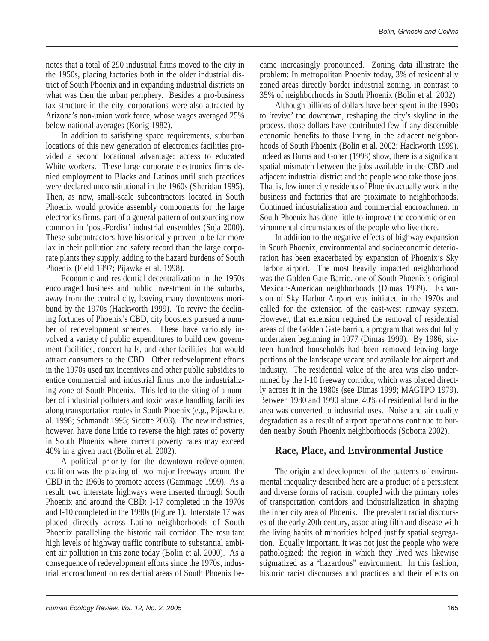notes that a total of 290 industrial firms moved to the city in the 1950s, placing factories both in the older industrial district of South Phoenix and in expanding industrial districts on what was then the urban periphery. Besides a pro-business tax structure in the city, corporations were also attracted by Arizona's non-union work force, whose wages averaged 25% below national averages (Konig 1982).

In addition to satisfying space requirements, suburban locations of this new generation of electronics facilities provided a second locational advantage: access to educated White workers. These large corporate electronics firms denied employment to Blacks and Latinos until such practices were declared unconstitutional in the 1960s (Sheridan 1995). Then, as now, small-scale subcontractors located in South Phoenix would provide assembly components for the large electronics firms, part of a general pattern of outsourcing now common in 'post-Fordist' industrial ensembles (Soja 2000). These subcontractors have historically proven to be far more lax in their pollution and safety record than the large corporate plants they supply, adding to the hazard burdens of South Phoenix (Field 1997; Pijawka et al. 1998).

Economic and residential decentralization in the 1950s encouraged business and public investment in the suburbs, away from the central city, leaving many downtowns moribund by the 1970s (Hackworth 1999). To revive the declining fortunes of Phoenix's CBD, city boosters pursued a number of redevelopment schemes. These have variously involved a variety of public expenditures to build new government facilities, concert halls, and other facilities that would attract consumers to the CBD. Other redevelopment efforts in the 1970s used tax incentives and other public subsidies to entice commercial and industrial firms into the industrializing zone of South Phoenix. This led to the siting of a number of industrial polluters and toxic waste handling facilities along transportation routes in South Phoenix (e.g., Pijawka et al. 1998; Schmandt 1995; Sicotte 2003). The new industries, however, have done little to reverse the high rates of poverty in South Phoenix where current poverty rates may exceed 40% in a given tract (Bolin et al. 2002).

A political priority for the downtown redevelopment coalition was the placing of two major freeways around the CBD in the 1960s to promote access (Gammage 1999). As a result, two interstate highways were inserted through South Phoenix and around the CBD: I-17 completed in the 1970s and I-10 completed in the 1980s (Figure 1). Interstate 17 was placed directly across Latino neighborhoods of South Phoenix paralleling the historic rail corridor. The resultant high levels of highway traffic contribute to substantial ambient air pollution in this zone today (Bolin et al. 2000). As a consequence of redevelopment efforts since the 1970s, industrial encroachment on residential areas of South Phoenix became increasingly pronounced. Zoning data illustrate the problem: In metropolitan Phoenix today, 3% of residentially zoned areas directly border industrial zoning, in contrast to 35% of neighborhoods in South Phoenix (Bolin et al. 2002).

Although billions of dollars have been spent in the 1990s to 'revive' the downtown, reshaping the city's skyline in the process, those dollars have contributed few if any discernible economic benefits to those living in the adjacent neighborhoods of South Phoenix (Bolin et al. 2002; Hackworth 1999). Indeed as Burns and Gober (1998) show, there is a significant spatial mismatch between the jobs available in the CBD and adjacent industrial district and the people who take those jobs. That is, few inner city residents of Phoenix actually work in the business and factories that are proximate to neighborhoods. Continued industrialization and commercial encroachment in South Phoenix has done little to improve the economic or environmental circumstances of the people who live there.

In addition to the negative effects of highway expansion in South Phoenix, environmental and socioeconomic deterioration has been exacerbated by expansion of Phoenix's Sky Harbor airport. The most heavily impacted neighborhood was the Golden Gate Barrio, one of South Phoenix's original Mexican-American neighborhoods (Dimas 1999). Expansion of Sky Harbor Airport was initiated in the 1970s and called for the extension of the east-west runway system. However, that extension required the removal of residential areas of the Golden Gate barrio, a program that was dutifully undertaken beginning in 1977 (Dimas 1999). By 1986, sixteen hundred households had been removed leaving large portions of the landscape vacant and available for airport and industry. The residential value of the area was also undermined by the I-10 freeway corridor, which was placed directly across it in the 1980s (see Dimas 1999; MAGTPO 1979). Between 1980 and 1990 alone, 40% of residential land in the area was converted to industrial uses. Noise and air quality degradation as a result of airport operations continue to burden nearby South Phoenix neighborhoods (Sobotta 2002).

## **Race, Place, and Environmental Justice**

The origin and development of the patterns of environmental inequality described here are a product of a persistent and diverse forms of racism, coupled with the primary roles of transportation corridors and industrialization in shaping the inner city area of Phoenix. The prevalent racial discourses of the early 20th century, associating filth and disease with the living habits of minorities helped justify spatial segregation. Equally important, it was not just the people who were pathologized: the region in which they lived was likewise stigmatized as a "hazardous" environment. In this fashion, historic racist discourses and practices and their effects on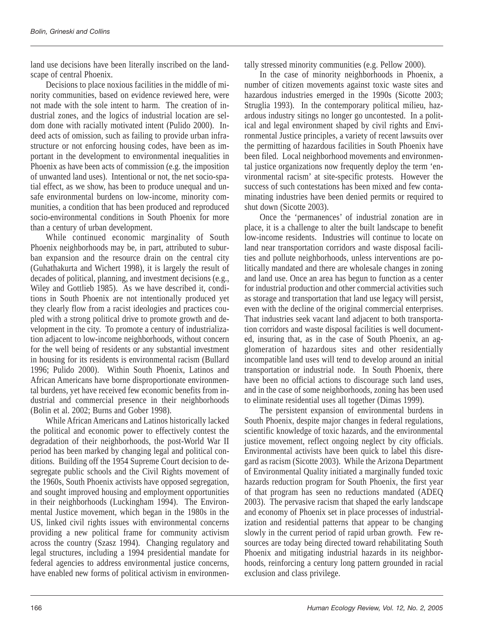land use decisions have been literally inscribed on the landscape of central Phoenix.

Decisions to place noxious facilities in the middle of minority communities, based on evidence reviewed here, were not made with the sole intent to harm. The creation of industrial zones, and the logics of industrial location are seldom done with racially motivated intent (Pulido 2000). Indeed acts of omission, such as failing to provide urban infrastructure or not enforcing housing codes, have been as important in the development to environmental inequalities in Phoenix as have been acts of commission (e.g. the imposition of unwanted land uses). Intentional or not, the net socio-spatial effect, as we show, has been to produce unequal and unsafe environmental burdens on low-income, minority communities, a condition that has been produced and reproduced socio-environmental conditions in South Phoenix for more than a century of urban development.

While continued economic marginality of South Phoenix neighborhoods may be, in part, attributed to suburban expansion and the resource drain on the central city (Guhathakurta and Wichert 1998), it is largely the result of decades of political, planning, and investment decisions (e.g., Wiley and Gottlieb 1985). As we have described it, conditions in South Phoenix are not intentionally produced yet they clearly flow from a racist ideologies and practices coupled with a strong political drive to promote growth and development in the city. To promote a century of industrialization adjacent to low-income neighborhoods, without concern for the well being of residents or any substantial investment in housing for its residents is environmental racism (Bullard 1996; Pulido 2000). Within South Phoenix, Latinos and African Americans have borne disproportionate environmental burdens, yet have received few economic benefits from industrial and commercial presence in their neighborhoods (Bolin et al. 2002; Burns and Gober 1998).

While African Americans and Latinos historically lacked the political and economic power to effectively contest the degradation of their neighborhoods, the post-World War II period has been marked by changing legal and political conditions. Building off the 1954 Supreme Court decision to desegregate public schools and the Civil Rights movement of the 1960s, South Phoenix activists have opposed segregation, and sought improved housing and employment opportunities in their neighborhoods (Luckingham 1994). The Environmental Justice movement, which began in the 1980s in the US, linked civil rights issues with environmental concerns providing a new political frame for community activism across the country (Szasz 1994). Changing regulatory and legal structures, including a 1994 presidential mandate for federal agencies to address environmental justice concerns, have enabled new forms of political activism in environmentally stressed minority communities (e.g. Pellow 2000).

In the case of minority neighborhoods in Phoenix, a number of citizen movements against toxic waste sites and hazardous industries emerged in the 1990s (Sicotte 2003; Struglia 1993). In the contemporary political milieu, hazardous industry sitings no longer go uncontested. In a political and legal environment shaped by civil rights and Environmental Justice principles, a variety of recent lawsuits over the permitting of hazardous facilities in South Phoenix have been filed. Local neighborhood movements and environmental justice organizations now frequently deploy the term 'environmental racism' at site-specific protests. However the success of such contestations has been mixed and few contaminating industries have been denied permits or required to shut down (Sicotte 2003).

Once the 'permanences' of industrial zonation are in place, it is a challenge to alter the built landscape to benefit low-income residents. Industries will continue to locate on land near transportation corridors and waste disposal facilities and pollute neighborhoods, unless interventions are politically mandated and there are wholesale changes in zoning and land use. Once an area has begun to function as a center for industrial production and other commercial activities such as storage and transportation that land use legacy will persist, even with the decline of the original commercial enterprises. That industries seek vacant land adjacent to both transportation corridors and waste disposal facilities is well documented, insuring that, as in the case of South Phoenix, an agglomeration of hazardous sites and other residentially incompatible land uses will tend to develop around an initial transportation or industrial node. In South Phoenix, there have been no official actions to discourage such land uses, and in the case of some neighborhoods, zoning has been used to eliminate residential uses all together (Dimas 1999).

The persistent expansion of environmental burdens in South Phoenix, despite major changes in federal regulations, scientific knowledge of toxic hazards, and the environmental justice movement, reflect ongoing neglect by city officials. Environmental activists have been quick to label this disregard as racism (Sicotte 2003). While the Arizona Department of Environmental Quality initiated a marginally funded toxic hazards reduction program for South Phoenix, the first year of that program has seen no reductions mandated (ADEQ 2003). The pervasive racism that shaped the early landscape and economy of Phoenix set in place processes of industrialization and residential patterns that appear to be changing slowly in the current period of rapid urban growth. Few resources are today being directed toward rehabilitating South Phoenix and mitigating industrial hazards in its neighborhoods, reinforcing a century long pattern grounded in racial exclusion and class privilege.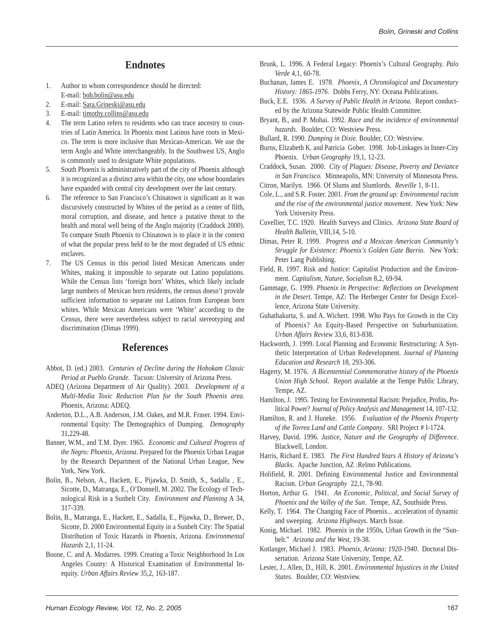### **Endnotes**

- 1. Author to whom correspondence should be directed: E-mail: bob.bolin@asu.edu
- 2. E-mail: Sara.Grineski@asu.edu
- 3. E-mail: timothy.collins@asu.edu
- 4. The term Latino refers to residents who can trace ancestry to countries of Latin America. In Phoenix most Latinos have roots in Mexico. The term is more inclusive than Mexican-American. We use the term Anglo and White interchangeably. In the Southwest US, Anglo is commonly used to designate White populations.
- 5. South Phoenix is administratively part of the city of Phoenix although it is recognized as a distinct area within the city, one whose boundaries have expanded with central city development over the last century.
- 6. The reference to San Francisco's Chinatown is significant as it was discursively constructed by Whites of the period as a center of filth, moral corruption, and disease, and hence a putative threat to the health and moral well being of the Anglo majority (Craddock 2000). To compare South Phoenix to Chinatown is to place it in the context of what the popular press held to be the most degraded of US ethnic enclaves.
- 7. The US Census in this period listed Mexican Americans under Whites, making it impossible to separate out Latino populations. While the Census lists 'foreign born' Whites, which likely include large numbers of Mexican born residents, the census doesn't provide sufficient information to separate out Latinos from European born whites. While Mexican Americans were 'White' according to the Census, there were nevertheless subject to racial stereotyping and discrimination (Dimas 1999).

#### **References**

- Abbot, D. (ed.) 2003. *Centuries of Decline during the Hohokam Classic Period at Pueblo Grande*. Tucson: University of Arizona Press.
- ADEQ (Arizona Department of Air Quality). 2003. *Development of a Multi-Media Toxic Reduction Plan for the South Phoenix area*. Phoenix, Arizona: ADEQ.
- Anderton, D.L., A.B. Anderson, J.M. Oakes, and M.R. Fraser. 1994. Environmental Equity: The Demographics of Dumping. *Demography* 31,229-48.
- Banner, W.M., and T.M. Dyer. 1965. *Economic and Cultural Progress of the Negro: Phoenix, Arizona*. Prepared for the Phoenix Urban League by the Research Department of the National Urban League, New York, New York.
- Bolin, B., Nelson, A., Hackett, E., Pijawka, D. Smith, S., Sadalla , E., Sicotte, D., Matranga, E., O'Donnell, M. 2002. The Ecology of Technological Risk in a Sunbelt City. *Environment and Planning* A 34, 317-339.
- Bolin, B., Matranga, E., Hackett, E., Sadalla, E., Pijawka, D., Brewer, D., Sicotte, D. 2000 Environmental Equity in a Sunbelt City: The Spatial Distribution of Toxic Hazards in Phoenix, Arizona. *Environmental Hazards* 2,1, 11-24.
- Boone, C. and A. Modarres. 1999. Creating a Toxic Neighborhood In Los Angeles County: A Historical Examination of Environmental Inequity. *Urban Affairs Review* 35,2, 163-187.
- Brunk, L. 1996. A Federal Legacy: Phoenix's Cultural Geography. *Palo Verde* 4,1, 60-78.
- Buchanan, James E. 1978. *Phoenix, A Chronological and Documentary History: 1865-1976*. Dobbs Ferry, NY: Oceana Publications.
- Buck, E.E. 1936. *A Survey of Public Health in Arizona.* Report conducted by the Arizona Statewide Public Health Committee.
- Bryant, B., and P. Mohai. 1992. *Race and the incidence of environmental hazards.* Boulder, CO: Westview Press.
- Bullard, R. 1990. *Dumping in Dixie*. Boulder, CO: Westview.
- Burns, Elizabeth K. and Patricia Gober. 1998. Job-Linkages in Inner-City Phoenix. *Urban Geography* 19,1, 12-23.
- Craddock, Susan. 2000. *City of Plagues: Disease, Poverty and Deviance in San Francisco.* Minneapolis, MN: University of Minnesota Press.
- Citron, Marilyn. 1966. Of Slums and Slumlords. *Reveille* 1, 8-11.
- Cole, L., and S.R. Foster. 2001. *From the ground up: Environmental racism and the rise of the environmental justice movement*. New York: New York University Press.
- Cuvellier, T.C. 1920. Health Surveys and Clinics. *Arizona State Board of Health Bulletin*, VIII,14, 5-10.
- Dimas, Peter R. 1999. *Progress and a Mexican American Community's Struggle for Existence: Phoenix's Golden Gate Barrio*. New York: Peter Lang Publishing.
- Field, R. 1997. Risk and Justice: Capitalist Production and the Environment. *Capitalism, Nature, Socialism* 8,2, 69-94.
- Gammage, G. 1999. *Phoenix in Perspective: Reflections on Development in the Desert.* Tempe, AZ: The Herberger Center for Design Excellence, Arizona State University.
- Guhathakurta, S. and A. Wichert. 1998. Who Pays for Growth in the City of Phoenix? An Equity-Based Perspective on Suburbanization. *Urban Affairs Review* 33,6, 813-838.
- Hackworth, J. 1999. Local Planning and Economic Restructuring: A Synthetic Interpretation of Urban Redevelopment. *Journal of Planning Education and Research* 18, 293-306.
- Hagerty, M. 1976. *A Bicentennial Commemorative history of the Phoenix Union High School*. Report available at the Tempe Public Library, Tempe, AZ.
- Hamilton, J. 1995. Testing for Environmental Racism: Prejudice, Profits, Political Power? *Journal of Policy Analysis and Management* 14, 107-132.
- Hamilton, R. and J. Huneke. 1956. *Evaluation of the Phoenix Property of the Tovrea Land and Cattle Company*. SRI Project # I-1724.
- Harvey, David. 1996. *Justice, Nature and the Geography of Difference*. Blackwell, London.
- Harris, Richard E. 1983. *The First Hundred Years A History of Arizona's Blacks*. Apache Junction, AZ :Relmo Publications.
- Holifield, R. 2001. Defining Environmental Justice and Environmental Racism. *Urban Geography* 22,1, 78-90.
- Horton, Arthur G. 1941. *An Economic, Political, and Social Survey of Phoenix and the Valley of the Sun*. Tempe, AZ, Southside Press.
- Kelly, T. 1964. The Changing Face of Phoenix... acceleration of dynamic and sweeping. *Arizona Highways*. March Issue.
- Konig, Michael. 1982. Phoenix in the 1950s, Urban Growth in the "Sunbelt." *Arizona and the West*, 19-38.
- Kotlanger, Michael J. 1983. *Phoenix, Arizona: 1920-1940*. Doctoral Dissertation. Arizona State University, Tempe, AZ.
- Lester, J., Allen, D., Hill, K. 2001. *Environmental Injustices in the United States.* Boulder, CO: Westview.